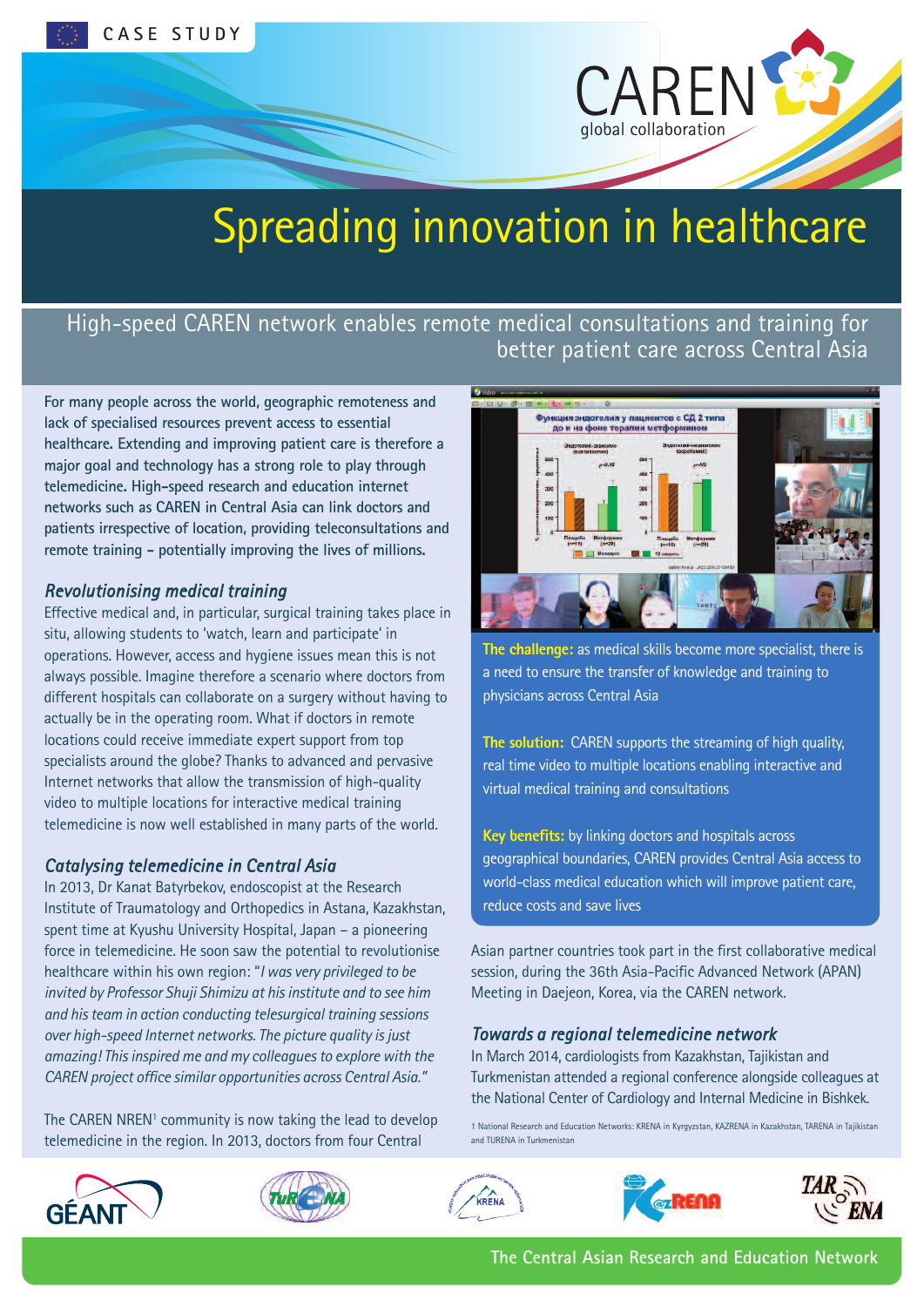

# Spreading innovation in healthcare

## High-speed CAREN network enables remote medical consultations and training for better patient care across Central Asia

**For many people across the world, geographic remoteness and lack of specialised resources prevent access to essential healthcare. Extending and improving patient care is therefore a major goal and technology has a strong role to play through telemedicine. High-speed research and education internet networks such as CAREN in Central Asia can link doctors and patients irrespective of location, providing teleconsultations and remote training - potentially improving the lives of millions.**

#### *Revolutionising medical training*

Effective medical and, in particular, surgical training takes place in situ, allowing students to 'watch, learn and participate' in operations. However, access and hygiene issues mean this is not always possible. Imagine therefore a scenario where doctors from different hospitals can collaborate on a surgery without having to actually be in the operating room. What if doctors in remote locations could receive immediate expert support from top specialists around the globe? Thanks to advanced and pervasive Internet networks that allow the transmission of high-quality video to multiple locations for interactive medical training telemedicine is now well established in many parts of the world.

#### *Catalysing telemedicine in Central Asia*

In 2013, Dr Kanat Batyrbekov, endoscopist at the Research Institute of Traumatology and Orthopedics in Astana, Kazakhstan, spent time at Kyushu University Hospital, Japan – a pioneering force in telemedicine. He soon saw the potential to revolutionise healthcare within his own region: "*I was very privileged to be invited by Professor Shuji Shimizu at hisinstitute and to see him and histeam in action conducting telesurgical training sessions over high-speed Internet networks. The picture quality isjust amazing! Thisinspired me and my colleaguesto explore with the CAREN project office similar opportunities across Central Asia."*

The CAREN NREN<sup>1</sup> community is now taking the lead to develop telemedicine in the region. In 2013, doctors from four Central



**The challenge:** as medical skills become more specialist, there is a need to ensure the transfer of knowledge and training to physicians across Central Asia

**The solution:** CAREN supports the streaming of high quality, real time video to multiple locations enabling interactive and virtual medical training and consultations

**Key benefits:** by linking doctors and hospitals across geographical boundaries, CAREN provides Central Asia access to world-class medical education which will improve patient care, reduce costs and save lives

Asian partner countries took part in the first collaborative medical session, during the 36th Asia-Pacific Advanced Network (APAN) Meeting in Daejeon, Korea, via the CAREN network.

#### *Towards a regional telemedicine network*

In March 2014, cardiologists from Kazakhstan, Tajikistan and Turkmenistan attended a regional conference alongside colleagues at the National Center of Cardiology and Internal Medicine in Bishkek.

1 National Research and Education Networks: KRENA in Kyrgyzstan, KAZRENA in Kazakhstan, TARENA in Tajikistan and TURENA in Turkmenistan